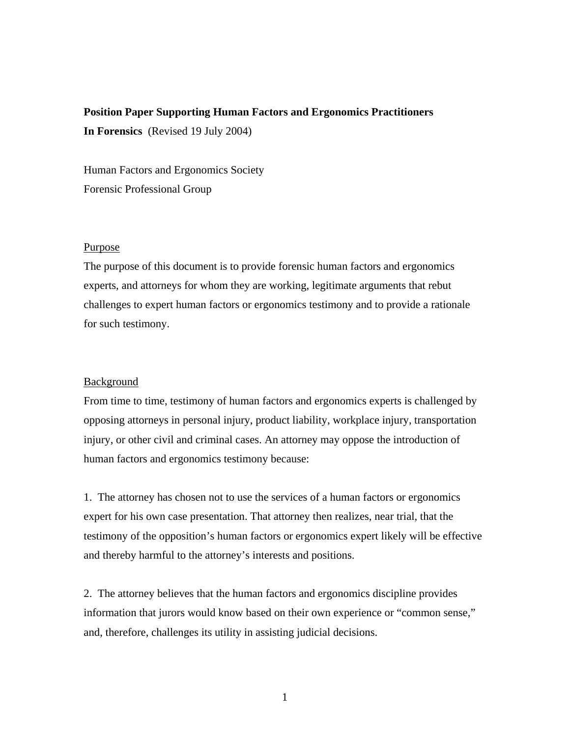# **Position Paper Supporting Human Factors and Ergonomics Practitioners In Forensics** (Revised 19 July 2004)

Human Factors and Ergonomics Society Forensic Professional Group

### Purpose

The purpose of this document is to provide forensic human factors and ergonomics experts, and attorneys for whom they are working, legitimate arguments that rebut challenges to expert human factors or ergonomics testimony and to provide a rationale for such testimony.

# Background

From time to time, testimony of human factors and ergonomics experts is challenged by opposing attorneys in personal injury, product liability, workplace injury, transportation injury, or other civil and criminal cases. An attorney may oppose the introduction of human factors and ergonomics testimony because:

1. The attorney has chosen not to use the services of a human factors or ergonomics expert for his own case presentation. That attorney then realizes, near trial, that the testimony of the opposition's human factors or ergonomics expert likely will be effective and thereby harmful to the attorney's interests and positions.

2. The attorney believes that the human factors and ergonomics discipline provides information that jurors would know based on their own experience or "common sense," and, therefore, challenges its utility in assisting judicial decisions.

1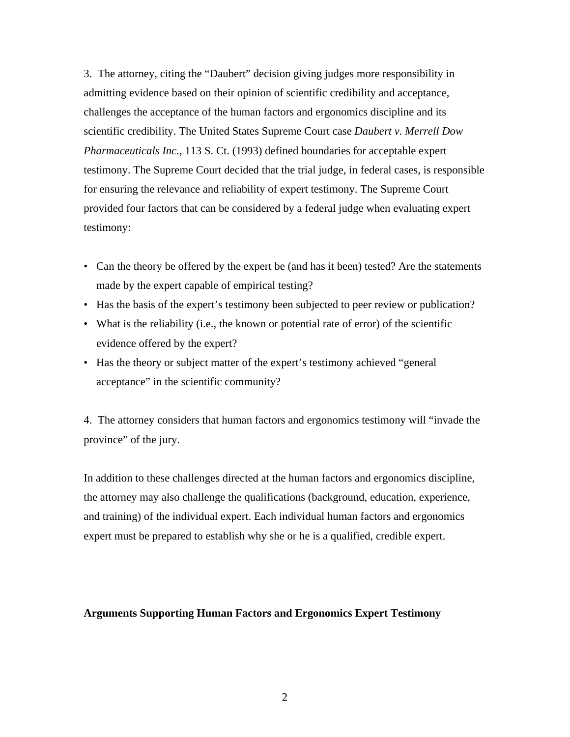3. The attorney, citing the "Daubert" decision giving judges more responsibility in admitting evidence based on their opinion of scientific credibility and acceptance, challenges the acceptance of the human factors and ergonomics discipline and its scientific credibility. The United States Supreme Court case *Daubert v. Merrell Dow Pharmaceuticals Inc.*, 113 S. Ct. (1993) defined boundaries for acceptable expert testimony. The Supreme Court decided that the trial judge, in federal cases, is responsible for ensuring the relevance and reliability of expert testimony. The Supreme Court provided four factors that can be considered by a federal judge when evaluating expert testimony:

- Can the theory be offered by the expert be (and has it been) tested? Are the statements made by the expert capable of empirical testing?
- Has the basis of the expert's testimony been subjected to peer review or publication?
- What is the reliability (i.e., the known or potential rate of error) of the scientific evidence offered by the expert?
- Has the theory or subject matter of the expert's testimony achieved "general acceptance" in the scientific community?

4. The attorney considers that human factors and ergonomics testimony will "invade the province" of the jury.

In addition to these challenges directed at the human factors and ergonomics discipline, the attorney may also challenge the qualifications (background, education, experience, and training) of the individual expert. Each individual human factors and ergonomics expert must be prepared to establish why she or he is a qualified, credible expert.

# **Arguments Supporting Human Factors and Ergonomics Expert Testimony**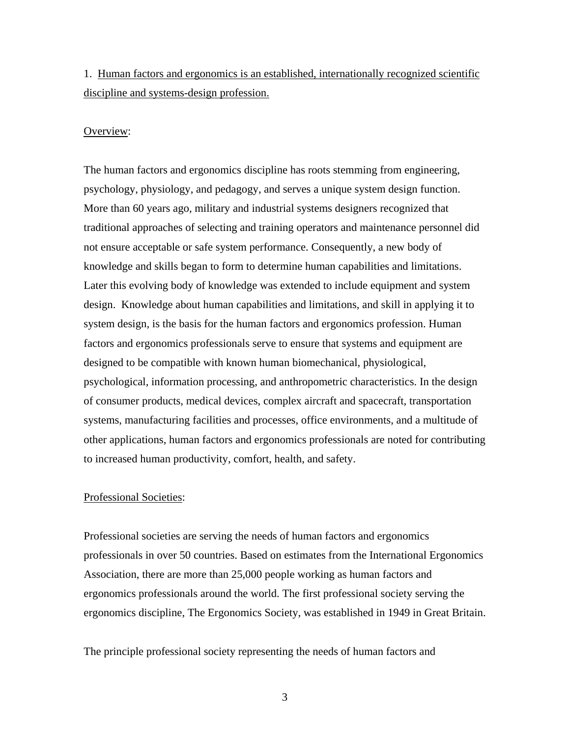1. Human factors and ergonomics is an established, internationally recognized scientific discipline and systems-design profession.

#### Overview:

The human factors and ergonomics discipline has roots stemming from engineering, psychology, physiology, and pedagogy, and serves a unique system design function. More than 60 years ago, military and industrial systems designers recognized that traditional approaches of selecting and training operators and maintenance personnel did not ensure acceptable or safe system performance. Consequently, a new body of knowledge and skills began to form to determine human capabilities and limitations. Later this evolving body of knowledge was extended to include equipment and system design. Knowledge about human capabilities and limitations, and skill in applying it to system design, is the basis for the human factors and ergonomics profession. Human factors and ergonomics professionals serve to ensure that systems and equipment are designed to be compatible with known human biomechanical, physiological, psychological, information processing, and anthropometric characteristics. In the design of consumer products, medical devices, complex aircraft and spacecraft, transportation systems, manufacturing facilities and processes, office environments, and a multitude of other applications, human factors and ergonomics professionals are noted for contributing to increased human productivity, comfort, health, and safety.

# Professional Societies:

Professional societies are serving the needs of human factors and ergonomics professionals in over 50 countries. Based on estimates from the International Ergonomics Association, there are more than 25,000 people working as human factors and ergonomics professionals around the world. The first professional society serving the ergonomics discipline, The Ergonomics Society, was established in 1949 in Great Britain.

The principle professional society representing the needs of human factors and

3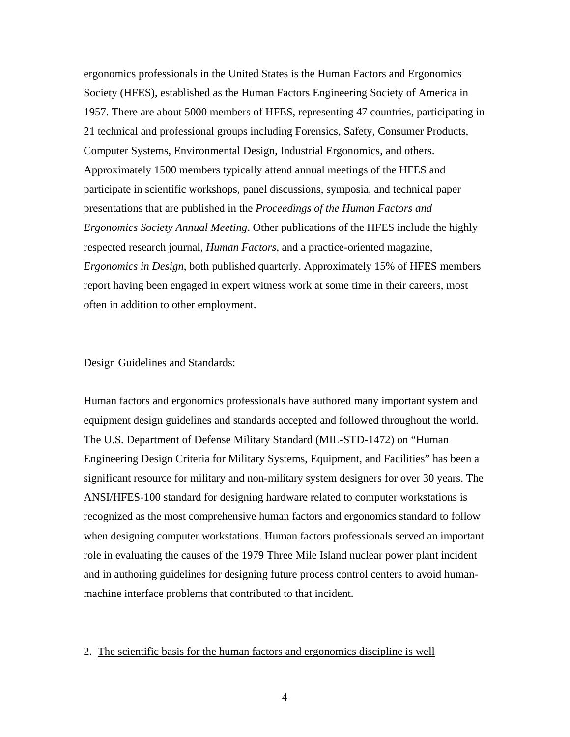ergonomics professionals in the United States is the Human Factors and Ergonomics Society (HFES), established as the Human Factors Engineering Society of America in 1957. There are about 5000 members of HFES, representing 47 countries, participating in 21 technical and professional groups including Forensics, Safety, Consumer Products, Computer Systems, Environmental Design, Industrial Ergonomics, and others. Approximately 1500 members typically attend annual meetings of the HFES and participate in scientific workshops, panel discussions, symposia, and technical paper presentations that are published in the *Proceedings of the Human Factors and Ergonomics Society Annual Meeting*. Other publications of the HFES include the highly respected research journal, *Human Factors*, and a practice-oriented magazine, *Ergonomics in Design*, both published quarterly. Approximately 15% of HFES members report having been engaged in expert witness work at some time in their careers, most often in addition to other employment.

# Design Guidelines and Standards:

Human factors and ergonomics professionals have authored many important system and equipment design guidelines and standards accepted and followed throughout the world. The U.S. Department of Defense Military Standard (MIL-STD-1472) on "Human Engineering Design Criteria for Military Systems, Equipment, and Facilities" has been a significant resource for military and non-military system designers for over 30 years. The ANSI/HFES-100 standard for designing hardware related to computer workstations is recognized as the most comprehensive human factors and ergonomics standard to follow when designing computer workstations. Human factors professionals served an important role in evaluating the causes of the 1979 Three Mile Island nuclear power plant incident and in authoring guidelines for designing future process control centers to avoid humanmachine interface problems that contributed to that incident.

#### 2. The scientific basis for the human factors and ergonomics discipline is well

4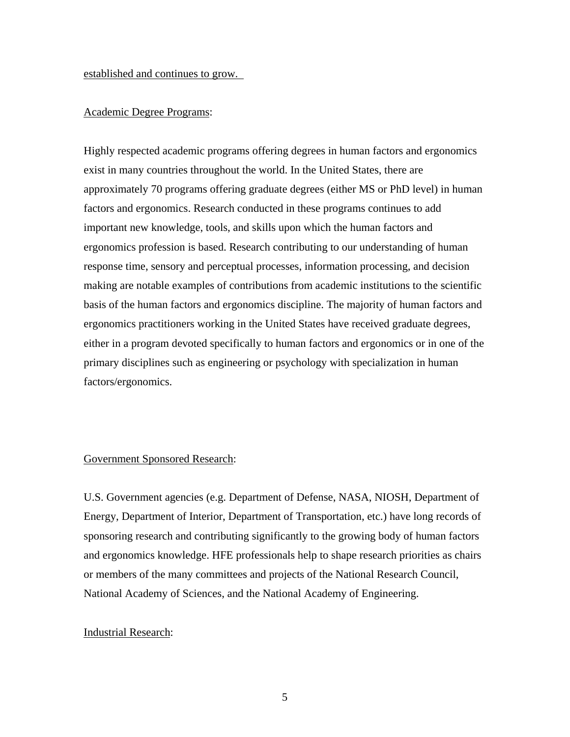established and continues to grow.

# Academic Degree Programs:

Highly respected academic programs offering degrees in human factors and ergonomics exist in many countries throughout the world. In the United States, there are approximately 70 programs offering graduate degrees (either MS or PhD level) in human factors and ergonomics. Research conducted in these programs continues to add important new knowledge, tools, and skills upon which the human factors and ergonomics profession is based. Research contributing to our understanding of human response time, sensory and perceptual processes, information processing, and decision making are notable examples of contributions from academic institutions to the scientific basis of the human factors and ergonomics discipline. The majority of human factors and ergonomics practitioners working in the United States have received graduate degrees, either in a program devoted specifically to human factors and ergonomics or in one of the primary disciplines such as engineering or psychology with specialization in human factors/ergonomics.

#### Government Sponsored Research:

U.S. Government agencies (e.g. Department of Defense, NASA, NIOSH, Department of Energy, Department of Interior, Department of Transportation, etc.) have long records of sponsoring research and contributing significantly to the growing body of human factors and ergonomics knowledge. HFE professionals help to shape research priorities as chairs or members of the many committees and projects of the National Research Council, National Academy of Sciences, and the National Academy of Engineering.

#### Industrial Research: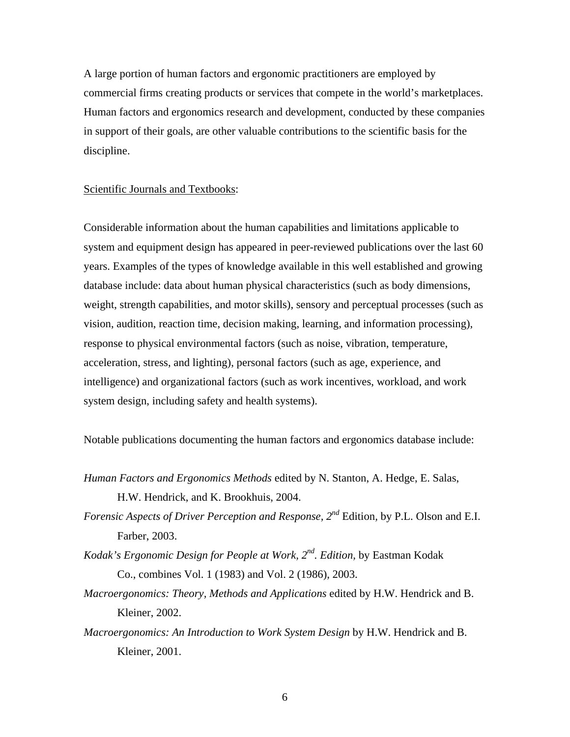A large portion of human factors and ergonomic practitioners are employed by commercial firms creating products or services that compete in the world's marketplaces. Human factors and ergonomics research and development, conducted by these companies in support of their goals, are other valuable contributions to the scientific basis for the discipline.

#### Scientific Journals and Textbooks:

Considerable information about the human capabilities and limitations applicable to system and equipment design has appeared in peer-reviewed publications over the last 60 years. Examples of the types of knowledge available in this well established and growing database include: data about human physical characteristics (such as body dimensions, weight, strength capabilities, and motor skills), sensory and perceptual processes (such as vision, audition, reaction time, decision making, learning, and information processing), response to physical environmental factors (such as noise, vibration, temperature, acceleration, stress, and lighting), personal factors (such as age, experience, and intelligence) and organizational factors (such as work incentives, workload, and work system design, including safety and health systems).

Notable publications documenting the human factors and ergonomics database include:

- *Human Factors and Ergonomics Methods* edited by N. Stanton, A. Hedge, E. Salas, H.W. Hendrick, and K. Brookhuis, 2004.
- *Forensic Aspects of Driver Perception and Response, 2nd* Edition*,* by P.L. Olson and E.I. Farber, 2003.
- *Kodak's Ergonomic Design for People at Work, 2<sup>nd</sup>. Edition, by Eastman Kodak* Co., combines Vol. 1 (1983) and Vol. 2 (1986), 2003.
- *Macroergonomics: Theory, Methods and Applications* edited by H.W. Hendrick and B. Kleiner, 2002.
- *Macroergonomics: An Introduction to Work System Design* by H.W. Hendrick and B. Kleiner, 2001.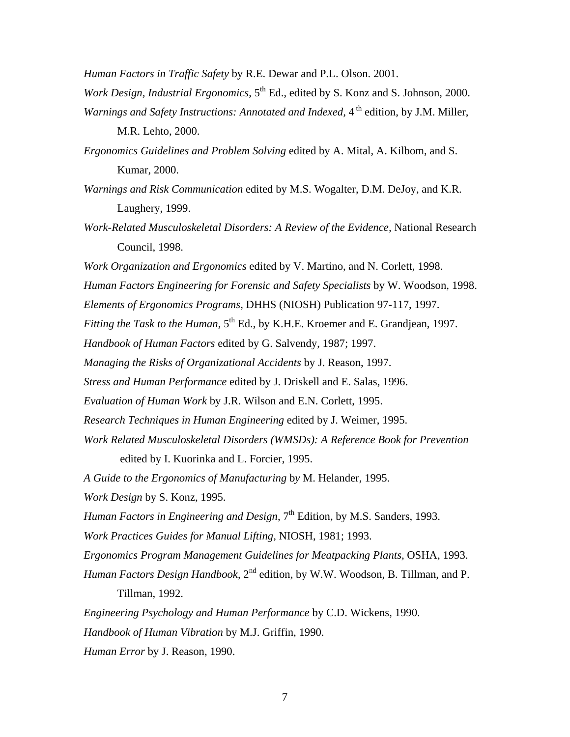*Human Factors in Traffic Safety* by R.E. Dewar and P.L. Olson. 2001.

- *Work Design, Industrial Ergonomics,* 5<sup>th</sup> Ed., edited by S. Konz and S. Johnson, 2000. *Warnings and Safety Instructions: Annotated and Indexed,* 4<sup>th</sup> edition, by J.M. Miller, M.R. Lehto, 2000.
- *Ergonomics Guidelines and Problem Solving* edited by A. Mital, A. Kilbom, and S. Kumar, 2000.
- *Warnings and Risk Communication* edited by M.S. Wogalter, D.M. DeJoy, and K.R. Laughery, 1999.
- *Work-Related Musculoskeletal Disorders: A Review of the Evidence,* National Research Council, 1998.
- *Work Organization and Ergonomics* edited by V. Martino, and N. Corlett, 1998.
- *Human Factors Engineering for Forensic and Safety Specialists* by W. Woodson, 1998.
- *Elements of Ergonomics Programs*, DHHS (NIOSH) Publication 97-117, 1997.
- *Fitting the Task to the Human,* 5<sup>th</sup> Ed., by K.H.E. Kroemer and E. Grandjean, 1997.
- *Handbook of Human Factors* edited by G. Salvendy, 1987; 1997.
- *Managing the Risks of Organizational Accidents* by J. Reason, 1997.
- *Stress and Human Performance* edited by J. Driskell and E. Salas, 1996.
- *Evaluation of Human Work* by J.R. Wilson and E.N. Corlett, 1995.
- *Research Techniques in Human Engineering* edited by J. Weimer, 1995.
- *Work Related Musculoskeletal Disorders (WMSDs): A Reference Book for Prevention*  edited by I. Kuorinka and L. Forcier, 1995.
- *A Guide to the Ergonomics of Manufacturing* b*y* M. Helander*,* 1995.
- *Work Design* by S. Konz, 1995.
- *Human Factors in Engineering and Design*, 7<sup>th</sup> Edition, by M.S. Sanders, 1993.

*Work Practices Guides for Manual Lifting,* NIOSH, 1981; 1993.

- *Ergonomics Program Management Guidelines for Meatpacking Plants,* OSHA, 1993.
- *Human Factors Design Handbook*, 2<sup>nd</sup> edition, by W.W. Woodson, B. Tillman, and P. Tillman, 1992.

*Engineering Psychology and Human Performance* by C.D. Wickens, 1990.

*Handbook of Human Vibration* by M.J. Griffin, 1990.

*Human Error* by J. Reason, 1990.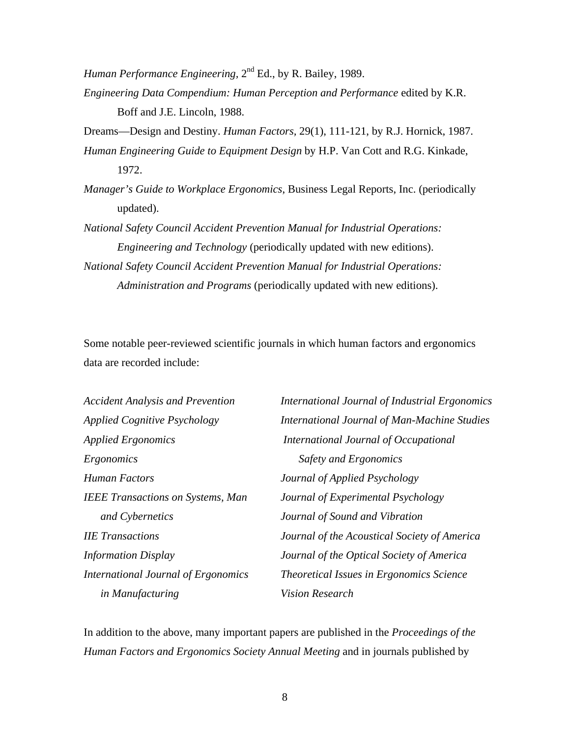*Human Performance Engineering,*  $2<sup>nd</sup> Ed.$ , by R. Bailey, 1989.

*Engineering Data Compendium: Human Perception and Performance* edited by K.R. Boff and J.E. Lincoln, 1988.

Dreams—Design and Destiny. *Human Factors,* 29(1), 111-121, by R.J. Hornick, 1987.

*Human Engineering Guide to Equipment Design* by H.P. Van Cott and R.G. Kinkade, 1972.

*Manager's Guide to Workplace Ergonomics*, Business Legal Reports, Inc. (periodically updated).

*National Safety Council Accident Prevention Manual for Industrial Operations: Engineering and Technology* (periodically updated with new editions).

*National Safety Council Accident Prevention Manual for Industrial Operations: Administration and Programs* (periodically updated with new editions).

Some notable peer-reviewed scientific journals in which human factors and ergonomics data are recorded include:

| <b>Accident Analysis and Prevention</b>  | International Journal of Industrial Ergonomics      |
|------------------------------------------|-----------------------------------------------------|
| <b>Applied Cognitive Psychology</b>      | <b>International Journal of Man-Machine Studies</b> |
| <b>Applied Ergonomics</b>                | International Journal of Occupational               |
| Ergonomics                               | Safety and Ergonomics                               |
| Human Factors                            | Journal of Applied Psychology                       |
| <b>IEEE Transactions on Systems, Man</b> | Journal of Experimental Psychology                  |
| and Cybernetics                          | Journal of Sound and Vibration                      |
| <b>IIE</b> Transactions                  | Journal of the Acoustical Society of America        |
| <b>Information Display</b>               | Journal of the Optical Society of America           |
| International Journal of Ergonomics      | Theoretical Issues in Ergonomics Science            |
| in Manufacturing                         | <b>Vision Research</b>                              |

In addition to the above, many important papers are published in the *Proceedings of the Human Factors and Ergonomics Society Annual Meeting* and in journals published by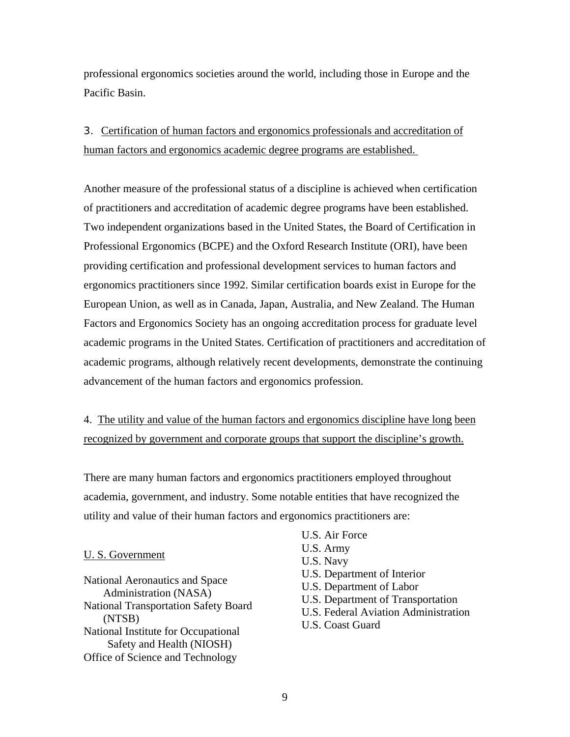professional ergonomics societies around the world, including those in Europe and the Pacific Basin.

# 3. Certification of human factors and ergonomics professionals and accreditation of human factors and ergonomics academic degree programs are established.

Another measure of the professional status of a discipline is achieved when certification of practitioners and accreditation of academic degree programs have been established. Two independent organizations based in the United States, the Board of Certification in Professional Ergonomics (BCPE) and the Oxford Research Institute (ORI), have been providing certification and professional development services to human factors and ergonomics practitioners since 1992. Similar certification boards exist in Europe for the European Union, as well as in Canada, Japan, Australia, and New Zealand. The Human Factors and Ergonomics Society has an ongoing accreditation process for graduate level academic programs in the United States. Certification of practitioners and accreditation of academic programs, although relatively recent developments, demonstrate the continuing advancement of the human factors and ergonomics profession.

4. The utility and value of the human factors and ergonomics discipline have long been recognized by government and corporate groups that support the discipline's growth.

There are many human factors and ergonomics practitioners employed throughout academia, government, and industry. Some notable entities that have recognized the utility and value of their human factors and ergonomics practitioners are:

# U. S. Government

National Aeronautics and Space Administration (NASA) National Transportation Safety Board (NTSB) National Institute for Occupational Safety and Health (NIOSH) Office of Science and Technology

U.S. Army U.S. Navy U.S. Department of Interior

U.S. Air Force

- U.S. Department of Labor
- U.S. Department of Transportation
- U.S. Federal Aviation Administration
- U.S. Coast Guard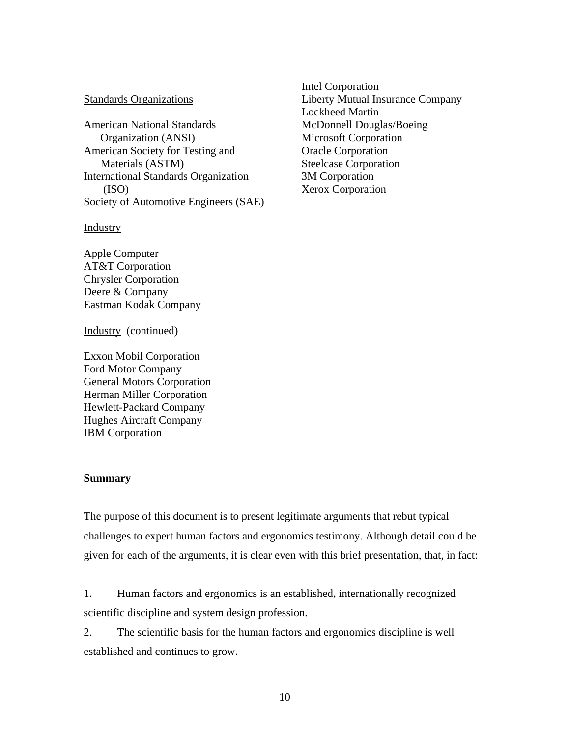# Standards Organizations

American National Standards Organization (ANSI) American Society for Testing and Materials (ASTM) International Standards Organization (ISO) Society of Automotive Engineers (SAE)

**Industry** 

Apple Computer AT&T Corporation Chrysler Corporation Deere & Company Eastman Kodak Company

Industry (continued)

Exxon Mobil Corporation Ford Motor Company General Motors Corporation Herman Miller Corporation Hewlett-Packard Company Hughes Aircraft Company IBM Corporation

#### **Summary**

The purpose of this document is to present legitimate arguments that rebut typical challenges to expert human factors and ergonomics testimony. Although detail could be given for each of the arguments, it is clear even with this brief presentation, that, in fact:

1. Human factors and ergonomics is an established, internationally recognized scientific discipline and system design profession.

2. The scientific basis for the human factors and ergonomics discipline is well established and continues to grow.

Intel Corporation Liberty Mutual Insurance Company Lockheed Martin McDonnell Douglas/Boeing Microsoft Corporation Oracle Corporation Steelcase Corporation 3M Corporation Xerox Corporation